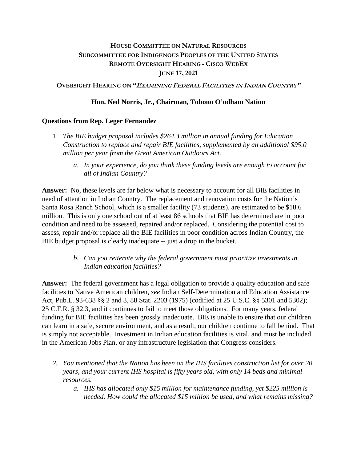# **HOUSE COMMITTEE ON NATURAL RESOURCES SUBCOMMITTEE FOR INDIGENOUS PEOPLES OF THE UNITED STATES REMOTE OVERSIGHT HEARING - CISCO WEBEX JUNE 17, 2021**

**OVERSIGHT HEARING ON "<sup>E</sup>XAMINING FEDERAL FACILITIES IN INDIAN COUNTRY"**

### **Hon. Ned Norris, Jr., Chairman, Tohono O'odham Nation**

### **Questions from Rep. Leger Fernandez**

- 1. *The BIE budget proposal includes \$264.3 million in annual funding for Education Construction to replace and repair BIE facilities, supplemented by an additional \$95.0 million per year from the Great American Outdoors Act*.
	- *a. In your experience, do you think these funding levels are enough to account for all of Indian Country?*

**Answer:** No, these levels are far below what is necessary to account for all BIE facilities in need of attention in Indian Country. The replacement and renovation costs for the Nation's Santa Rosa Ranch School, which is a smaller facility (73 students), are estimated to be \$18.6 million. This is only one school out of at least 86 schools that BIE has determined are in poor condition and need to be assessed, repaired and/or replaced. Considering the potential cost to assess, repair and/or replace all the BIE facilities in poor condition across Indian Country, the BIE budget proposal is clearly inadequate -- just a drop in the bucket.

> *b. Can you reiterate why the federal government must prioritize investments in Indian education facilities?*

**Answer:** The federal government has a legal obligation to provide a quality education and safe facilities to Native American children, *see* Indian Self-Determination and Education Assistance Act, Pub.L. 93-638 §§ 2 and 3, 88 Stat. 2203 (1975) (codified at 25 U.S.C. §§ 5301 and 5302); 25 C.F.R. § 32.3, and it continues to fail to meet those obligations. For many years, federal funding for BIE facilities has been grossly inadequate. BIE is unable to ensure that our children can learn in a safe, secure environment, and as a result, our children continue to fall behind. That is simply not acceptable. Investment in Indian education facilities is vital, and must be included in the American Jobs Plan, or any infrastructure legislation that Congress considers.

- *2. You mentioned that the Nation has been on the IHS facilities construction list for over 20 years, and your current IHS hospital is fifty years old, with only 14 beds and minimal resources.* 
	- *a. IHS has allocated only \$15 million for maintenance funding, yet \$225 million is needed. How could the allocated \$15 million be used, and what remains missing?*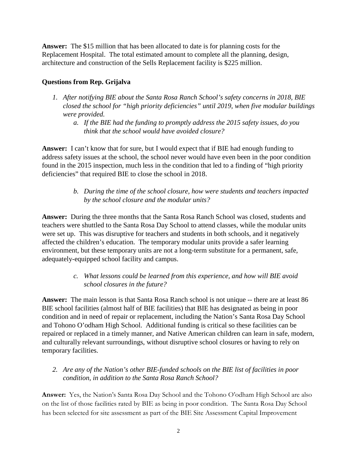**Answer:** The \$15 million that has been allocated to date is for planning costs for the Replacement Hospital. The total estimated amount to complete all the planning, design, architecture and construction of the Sells Replacement facility is \$225 million.

### **Questions from Rep. Grijalva**

- *1. After notifying BIE about the Santa Rosa Ranch School's safety concerns in 2018, BIE closed the school for "high priority deficiencies" until 2019, when five modular buildings were provided.* 
	- *a. If the BIE had the funding to promptly address the 2015 safety issues, do you think that the school would have avoided closure?*

**Answer:** I can't know that for sure, but I would expect that if BIE had enough funding to address safety issues at the school, the school never would have even been in the poor condition found in the 2015 inspection, much less in the condition that led to a finding of "high priority deficiencies" that required BIE to close the school in 2018.

> *b. During the time of the school closure, how were students and teachers impacted by the school closure and the modular units?*

**Answer:** During the three months that the Santa Rosa Ranch School was closed, students and teachers were shuttled to the Santa Rosa Day School to attend classes, while the modular units were set up. This was disruptive for teachers and students in both schools, and it negatively affected the children's education. The temporary modular units provide a safer learning environment, but these temporary units are not a long-term substitute for a permanent, safe, adequately-equipped school facility and campus.

# *c. What lessons could be learned from this experience, and how will BIE avoid school closures in the future?*

**Answer:** The main lesson is that Santa Rosa Ranch school is not unique -- there are at least 86 BIE school facilities (almost half of BIE facilities) that BIE has designated as being in poor condition and in need of repair or replacement, including the Nation's Santa Rosa Day School and Tohono O'odham High School. Additional funding is critical so these facilities can be repaired or replaced in a timely manner, and Native American children can learn in safe, modern, and culturally relevant surroundings, without disruptive school closures or having to rely on temporary facilities.

# *2. Are any of the Nation's other BIE-funded schools on the BIE list of facilities in poor condition, in addition to the Santa Rosa Ranch School?*

**Answer:** Yes, the Nation's Santa Rosa Day School and the Tohono O'odham High School are also on the list of those facilities rated by BIE as being in poor condition. The Santa Rosa Day School has been selected for site assessment as part of the BIE Site Assessment Capital Improvement